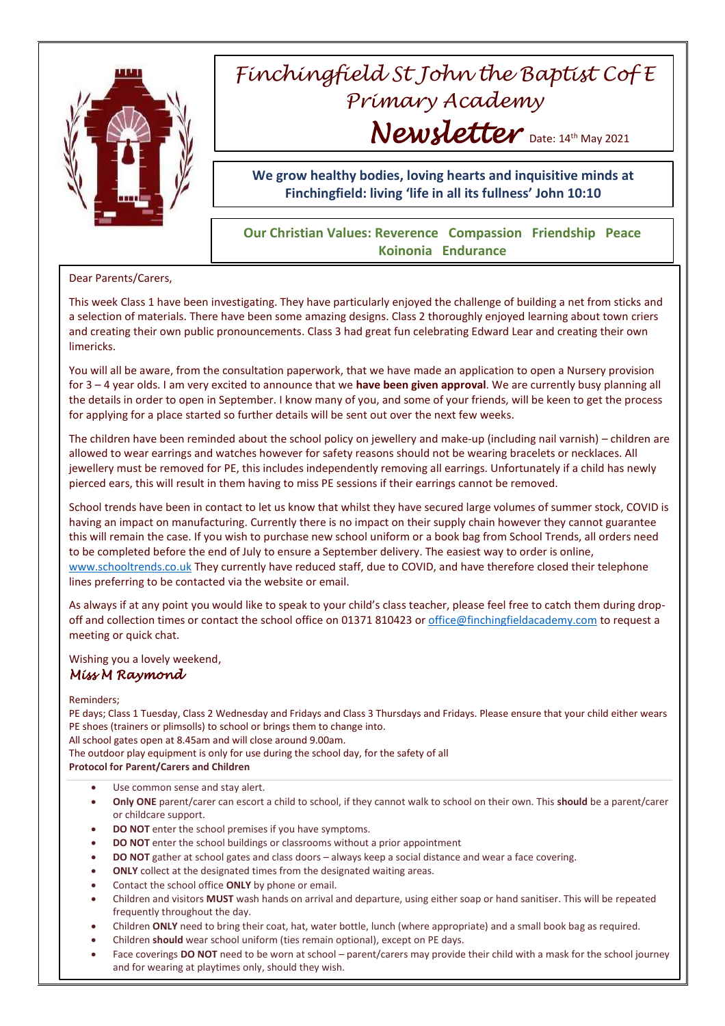

# *Finchingfield St John the Baptist Cof E Primary Academy Newsletter* Date: 14th May 2021

**We grow healthy bodies, loving hearts and inquisitive minds at Finchingfield: living 'life in all its fullness' John 10:10**

## **Our Christian Values: Reverence Compassion Friendship Peace Koinonia Endurance**

#### Dear Parents/Carers,

This week Class 1 have been investigating. They have particularly enjoyed the challenge of building a net from sticks and a selection of materials. There have been some amazing designs. Class 2 thoroughly enjoyed learning about town criers and creating their own public pronouncements. Class 3 had great fun celebrating Edward Lear and creating their own limericks.

You will all be aware, from the consultation paperwork, that we have made an application to open a Nursery provision for 3 – 4 year olds. I am very excited to announce that we **have been given approval**. We are currently busy planning all the details in order to open in September. I know many of you, and some of your friends, will be keen to get the process for applying for a place started so further details will be sent out over the next few weeks.

The children have been reminded about the school policy on jewellery and make-up (including nail varnish) – children are allowed to wear earrings and watches however for safety reasons should not be wearing bracelets or necklaces. All jewellery must be removed for PE, this includes independently removing all earrings. Unfortunately if a child has newly pierced ears, this will result in them having to miss PE sessions if their earrings cannot be removed.

School trends have been in contact to let us know that whilst they have secured large volumes of summer stock, COVID is having an impact on manufacturing. Currently there is no impact on their supply chain however they cannot guarantee this will remain the case. If you wish to purchase new school uniform or a book bag from School Trends, all orders need to be completed before the end of July to ensure a September delivery. The easiest way to order is online, [www.schooltrends.co.uk](http://www.schooltrends.co.uk/) They currently have reduced staff, due to COVID, and have therefore closed their telephone lines preferring to be contacted via the website or email.

As always if at any point you would like to speak to your child's class teacher, please feel free to catch them during dropoff and collection times or contact the school office on 01371 810423 or [office@finchingfieldacademy.com](mailto:office@finchingfieldacademy.com) to request a meeting or quick chat.

Wishing you a lovely weekend,

### *Miss M Raymond*

#### Reminders;

PE days; Class 1 Tuesday, Class 2 Wednesday and Fridays and Class 3 Thursdays and Fridays. Please ensure that your child either wears PE shoes (trainers or plimsolls) to school or brings them to change into.

All school gates open at 8.45am and will close around 9.00am.

The outdoor play equipment is only for use during the school day, for the safety of all

**Protocol for Parent/Carers and Children**

- Use common sense and stay alert.
- **Only ONE** parent/carer can escort a child to school, if they cannot walk to school on their own. This **should** be a parent/carer or childcare support.
- **DO NOT** enter the school premises if you have symptoms.
- **DO NOT** enter the school buildings or classrooms without a prior appointment
- **DO NOT** gather at school gates and class doors always keep a social distance and wear a face covering.
- **ONLY** collect at the designated times from the designated waiting areas.
- Contact the school office **ONLY** by phone or email.
- Children and visitors **MUST** wash hands on arrival and departure, using either soap or hand sanitiser. This will be repeated frequently throughout the day.
- Children **ONLY** need to bring their coat, hat, water bottle, lunch (where appropriate) and a small book bag as required.
- Children **should** wear school uniform (ties remain optional), except on PE days.
- Face coverings **DO NOT** need to be worn at school parent/carers may provide their child with a mask for the school journey and for wearing at playtimes only, should they wish.